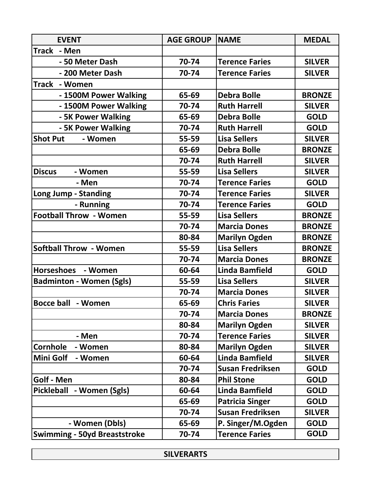| <b>EVENT</b>                        | <b>AGE GROUP</b> | <b>NAME</b>             | <b>MEDAL</b>  |
|-------------------------------------|------------------|-------------------------|---------------|
| <b>Track</b><br>- Men               |                  |                         |               |
| - 50 Meter Dash                     | 70-74            | <b>Terence Faries</b>   | <b>SILVER</b> |
| - 200 Meter Dash                    | 70-74            | <b>Terence Faries</b>   | <b>SILVER</b> |
| Track - Women                       |                  |                         |               |
| - 1500M Power Walking               | 65-69            | <b>Debra Bolle</b>      | <b>BRONZE</b> |
| - 1500M Power Walking               | 70-74            | <b>Ruth Harrell</b>     | <b>SILVER</b> |
| - 5K Power Walking                  | 65-69            | <b>Debra Bolle</b>      | <b>GOLD</b>   |
| - 5K Power Walking                  | 70-74            | <b>Ruth Harrell</b>     | <b>GOLD</b>   |
| <b>Shot Put</b><br>- Women          | 55-59            | <b>Lisa Sellers</b>     | <b>SILVER</b> |
|                                     | 65-69            | <b>Debra Bolle</b>      | <b>BRONZE</b> |
|                                     | 70-74            | <b>Ruth Harrell</b>     | <b>SILVER</b> |
| <b>Discus</b><br>- Women            | 55-59            | <b>Lisa Sellers</b>     | <b>SILVER</b> |
| - Men                               | 70-74            | <b>Terence Faries</b>   | <b>GOLD</b>   |
| Long Jump - Standing                | 70-74            | <b>Terence Faries</b>   | <b>SILVER</b> |
| - Running                           | 70-74            | <b>Terence Faries</b>   | <b>GOLD</b>   |
| <b>Football Throw - Women</b>       | 55-59            | <b>Lisa Sellers</b>     | <b>BRONZE</b> |
|                                     | 70-74            | <b>Marcia Dones</b>     | <b>BRONZE</b> |
|                                     | 80-84            | <b>Marilyn Ogden</b>    | <b>BRONZE</b> |
| <b>Softball Throw - Women</b>       | 55-59            | <b>Lisa Sellers</b>     | <b>BRONZE</b> |
|                                     | 70-74            | <b>Marcia Dones</b>     | <b>BRONZE</b> |
| Horseshoes - Women                  | 60-64            | <b>Linda Bamfield</b>   | <b>GOLD</b>   |
| <b>Badminton - Women (Sgls)</b>     | 55-59            | <b>Lisa Sellers</b>     | <b>SILVER</b> |
|                                     | 70-74            | <b>Marcia Dones</b>     | <b>SILVER</b> |
| <b>Bocce ball - Women</b>           | 65-69            | <b>Chris Faries</b>     | <b>SILVER</b> |
|                                     | 70-74            | <b>Marcia Dones</b>     | <b>BRONZE</b> |
|                                     | 80-84            | <b>Marilyn Ogden</b>    | <b>SILVER</b> |
| - Men                               | 70-74            | <b>Terence Faries</b>   | <b>SILVER</b> |
| Cornhole<br>- Women                 | 80-84            | <b>Marilyn Ogden</b>    | <b>SILVER</b> |
| Mini Golf<br>- Women                | 60-64            | <b>Linda Bamfield</b>   | <b>SILVER</b> |
|                                     | 70-74            | <b>Susan Fredriksen</b> | <b>GOLD</b>   |
| Golf - Men                          | 80-84            | <b>Phil Stone</b>       | <b>GOLD</b>   |
| Pickleball - Women (Sgls)           | 60-64            | <b>Linda Bamfield</b>   | <b>GOLD</b>   |
|                                     | 65-69            | <b>Patricia Singer</b>  | <b>GOLD</b>   |
|                                     | 70-74            | <b>Susan Fredriksen</b> | <b>SILVER</b> |
| - Women (Dbls)                      | 65-69            | P. Singer/M.Ogden       | <b>GOLD</b>   |
| <b>Swimming - 50yd Breaststroke</b> | 70-74            | <b>Terence Faries</b>   | <b>GOLD</b>   |

**SILVERARTS**